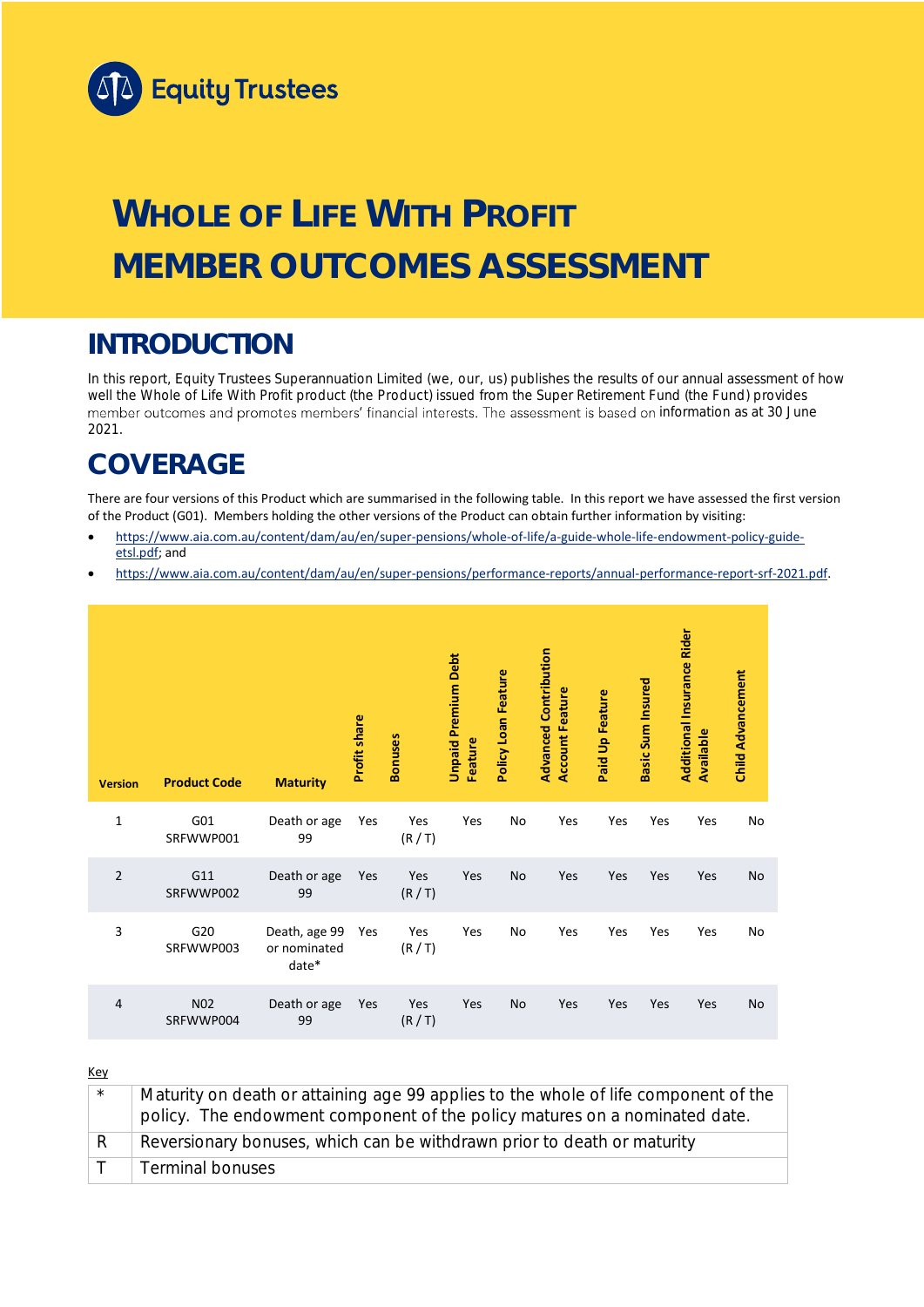

# **WHOLE OF LIFE WITH PROFIT MEMBER OUTCOMES ASSESSMENT**

## **INTRODUCTION**

In this report, Equity Trustees Superannuation Limited (we, our, us) publishes the results of our annual assessment of how well the Whole of Life With Profit product (the Product) issued from the Super Retirement Fund (the Fund) provides member outcomes and promotes members' financial interests. The assessment is based on information as at 30 June 2021.

## **COVERAGE**

There are four versions of this Product which are summarised in the following table. In this report we have assessed the first version of the Product (G01). Members holding the other versions of the Product can obtain further information by visiting:

- [https://www.aia.com.au/content/dam/au/en/super-pensions/whole-of-life/a-guide-whole-life-endowment-policy-guide](https://www.aia.com.au/content/dam/au/en/super-pensions/whole-of-life/a-guide-whole-life-endowment-policy-guide-etsl.pdf)[etsl.pdf;](https://www.aia.com.au/content/dam/au/en/super-pensions/whole-of-life/a-guide-whole-life-endowment-policy-guide-etsl.pdf) and
- [https://www.aia.com.au/content/dam/au/en/super-pensions/performance-reports/annual-performance-report-srf-2021.pdf.](https://www.aia.com.au/content/dam/au/en/super-pensions/performance-reports/annual-performance-report-srf-2021.pdf)

| <b>Version</b> | <b>Product Code</b>           | <b>Maturity</b>                        | <b>Profit share</b> | <b>Bonuses</b> | <b>Unpaid Premium Debt</b><br>Feature | Policy Loan Feature | <b>Advanced Contribution</b><br><b>Account Feature</b> | Paid Up Feature | Basic Sum Insured | <b>Additional Insurance Rider</b><br>Available | <b>Child Advancement</b> |
|----------------|-------------------------------|----------------------------------------|---------------------|----------------|---------------------------------------|---------------------|--------------------------------------------------------|-----------------|-------------------|------------------------------------------------|--------------------------|
| $\mathbf{1}$   | G01<br>SRFWWP001              | Death or age<br>99                     | Yes                 | Yes<br>(R/T)   | Yes                                   | No                  | Yes                                                    | Yes             | Yes               | Yes                                            | No                       |
| $\overline{2}$ | G11<br>SRFWWP002              | Death or age<br>99                     | Yes                 | Yes<br>(R/T)   | Yes                                   | No                  | Yes                                                    | Yes             | Yes               | Yes                                            | No                       |
| 3              | G20<br>SRFWWP003              | Death, age 99<br>or nominated<br>date* | Yes                 | Yes<br>(R/T)   | Yes                                   | No                  | Yes                                                    | Yes             | Yes               | Yes                                            | No                       |
| $\overline{4}$ | N <sub>0</sub> 2<br>SRFWWP004 | Death or age<br>99                     | Yes                 | Yes<br>(R/T)   | Yes                                   | No                  | Yes                                                    | Yes             | Yes               | Yes                                            | No                       |

Key

| $\star$ | Maturity on death or attaining age 99 applies to the whole of life component of the<br>policy. The endowment component of the policy matures on a nominated date. |
|---------|-------------------------------------------------------------------------------------------------------------------------------------------------------------------|
|         | Reversionary bonuses, which can be withdrawn prior to death or maturity                                                                                           |
|         | <b>Terminal bonuses</b>                                                                                                                                           |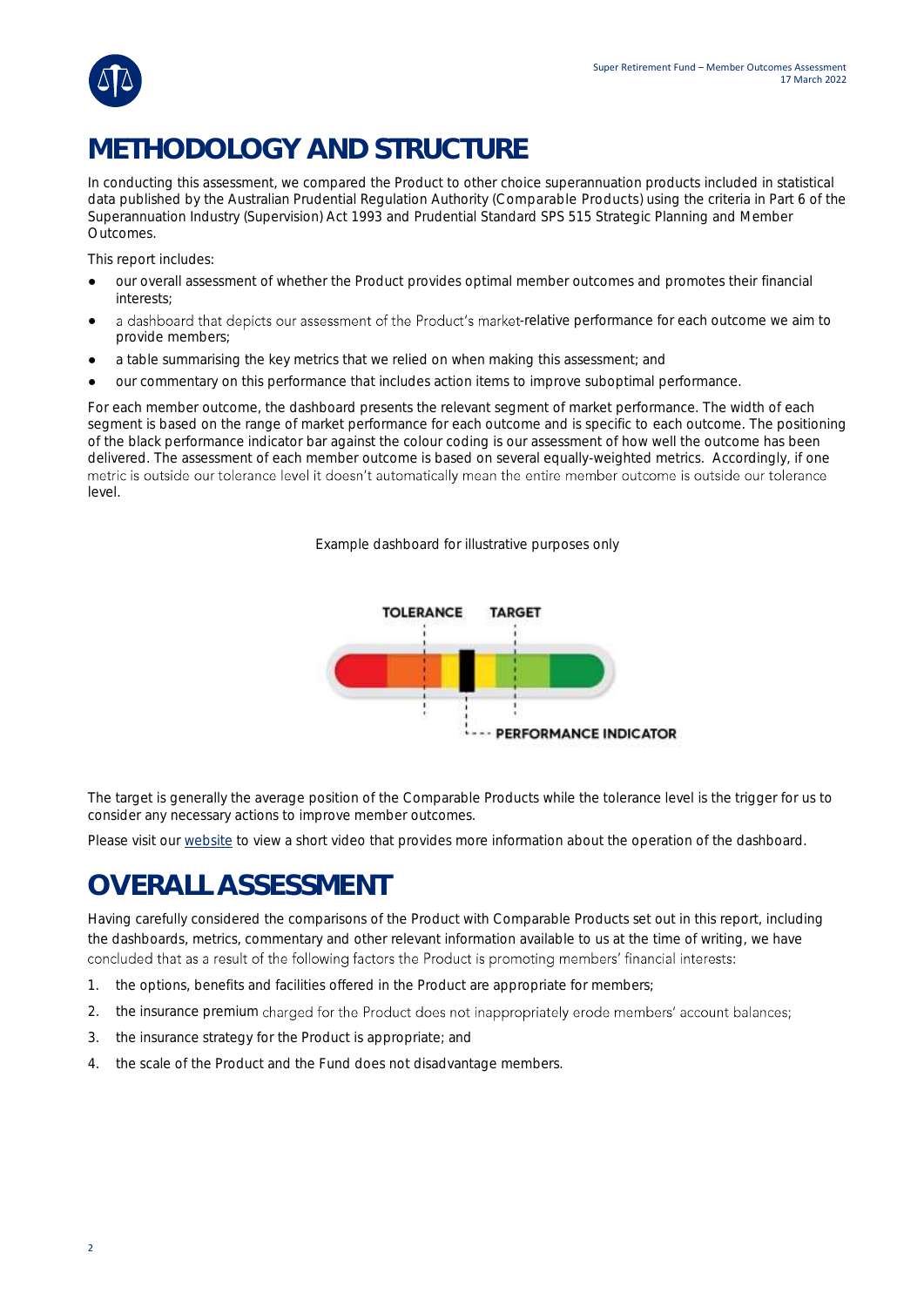

## **METHODOLOGY AND STRUCTURE**

In conducting this assessment, we compared the Product to other choice superannuation products included in statistical data published by the Australian Prudential Regulation Authority (Comparable Products) using the criteria in Part 6 of the *Superannuation Industry (Supervision) Act 1993* and Prudential Standard SPS 515 *Strategic Planning and Member Outcomes*.

This report includes:

- our overall assessment of whether the Product provides optimal member outcomes and promotes their financial interests;
- a dashboard that depicts our assessment of the Product's market-relative performance for each outcome we aim to provide members;
- a table summarising the key metrics that we relied on when making this assessment; and
- our commentary on this performance that includes action items to improve suboptimal performance.

For each member outcome, the dashboard presents the relevant segment of market performance. The width of each segment is based on the range of market performance for each outcome and is specific to each outcome. The positioning of the black performance indicator bar against the colour coding is our assessment of how well the outcome has been delivered. The assessment of each member outcome is based on several equally-weighted metrics. Accordingly, if one metric is outside our tolerance level it doesn't automatically mean the entire member outcome is outside our tolerance level.

*Example dashboard for illustrative purposes only*



The target is generally the average position of the Comparable Products while the tolerance level is the trigger for us to consider any necessary actions to improve member outcomes.

Please visit our [website](https://www.eqt.com.au/superannuation) to view a short video that provides more information about the operation of the dashboard.

## **OVERALL ASSESSMENT**

Having carefully considered the comparisons of the Product with Comparable Products set out in this report, including the dashboards, metrics, commentary and other relevant information available to us at the time of writing, we have concluded that as a result of the following factors the Product is promoting members' financial interests:

- 1. the options, benefits and facilities offered in the Product are appropriate for members;
- 2. the insurance premium charged for the Product does not inappropriately erode members' account balances;
- 3. the insurance strategy for the Product is appropriate; and
- 4. the scale of the Product and the Fund does not disadvantage members.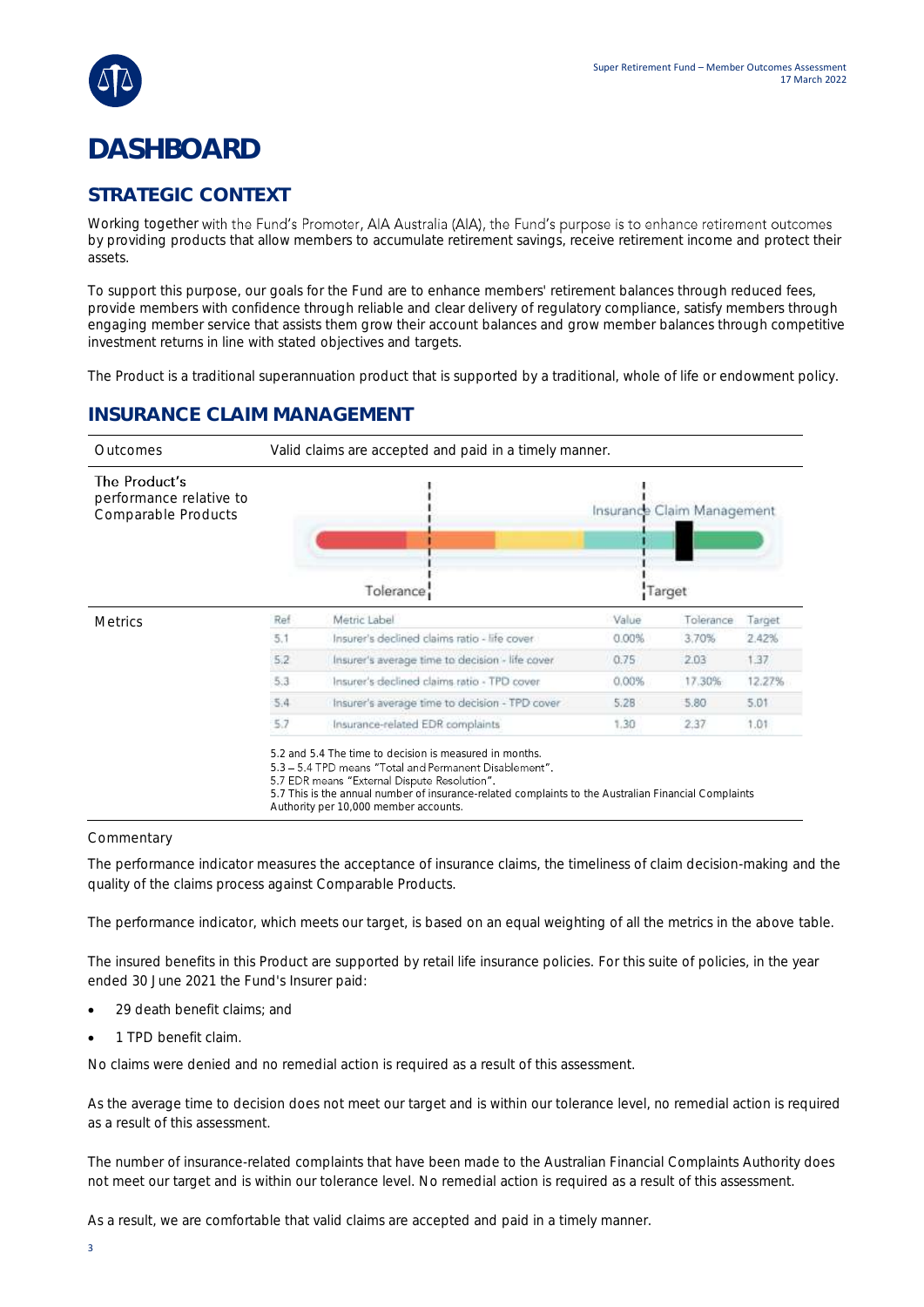

## **DASHBOARD**

### **STRATEGIC CONTEXT**

Working together with the Fund's Promoter, AIA Australia (AIA), the Fund's purpose is to enhance retirement outcomes by providing products that allow members to accumulate retirement savings, receive retirement income and protect their assets.

To support this purpose, our goals for the Fund are to enhance members' retirement balances through reduced fees, provide members with confidence through reliable and clear delivery of regulatory compliance, satisfy members through engaging member service that assists them grow their account balances and grow member balances through competitive investment returns in line with stated objectives and targets.

The Product is a traditional superannuation product that is supported by a traditional, whole of life or endowment policy.

### **INSURANCE CLAIM MANAGEMENT**

| Valid claims are accepted and paid in a timely manner. |                                                 |       |           |                                      |  |  |  |  |
|--------------------------------------------------------|-------------------------------------------------|-------|-----------|--------------------------------------|--|--|--|--|
|                                                        | Tolerance                                       |       |           |                                      |  |  |  |  |
| Ref                                                    | Metric Label                                    | Value | Tolerance | Target                               |  |  |  |  |
| 5.1                                                    | Insurer's declined claims ratio - life cover    | 0.00% | 3.70%     | 2.42%                                |  |  |  |  |
| 5.2                                                    | Insurer's average time to decision - life cover | 0.75  | 2.03      | 1.37                                 |  |  |  |  |
| 5.3                                                    | Insurer's declined claims ratio - TPD cover     | 0.00% | 17.30%    | 12.27%                               |  |  |  |  |
| 5.4                                                    | Insurer's average time to decision - TPD cover  | 5.28  | 5.80      | 5.01                                 |  |  |  |  |
| 5.7                                                    | Insurance-related EDR complaints                | 1.30  | 2.37      | 1.01                                 |  |  |  |  |
|                                                        |                                                 |       |           | Insurance Claim Management<br>Target |  |  |  |  |

5.7 This is the annual number of insurance-related complaints to the Australian Financial Complaints

Authority per 10,000 member accounts.

#### Commentary

The performance indicator measures the acceptance of insurance claims, the timeliness of claim decision-making and the quality of the claims process against Comparable Products.

The performance indicator, which meets our target, is based on an equal weighting of all the metrics in the above table.

The insured benefits in this Product are supported by retail life insurance policies. For this suite of policies, in the year ended 30 June 2021 the Fund's Insurer paid:

- 29 death benefit claims; and
- 1 TPD benefit claim.

No claims were denied and no remedial action is required as a result of this assessment.

As the average time to decision does not meet our target and is within our tolerance level, no remedial action is required as a result of this assessment.

The number of insurance-related complaints that have been made to the Australian Financial Complaints Authority does not meet our target and is within our tolerance level. No remedial action is required as a result of this assessment.

As a result, we are comfortable that valid claims are accepted and paid in a timely manner.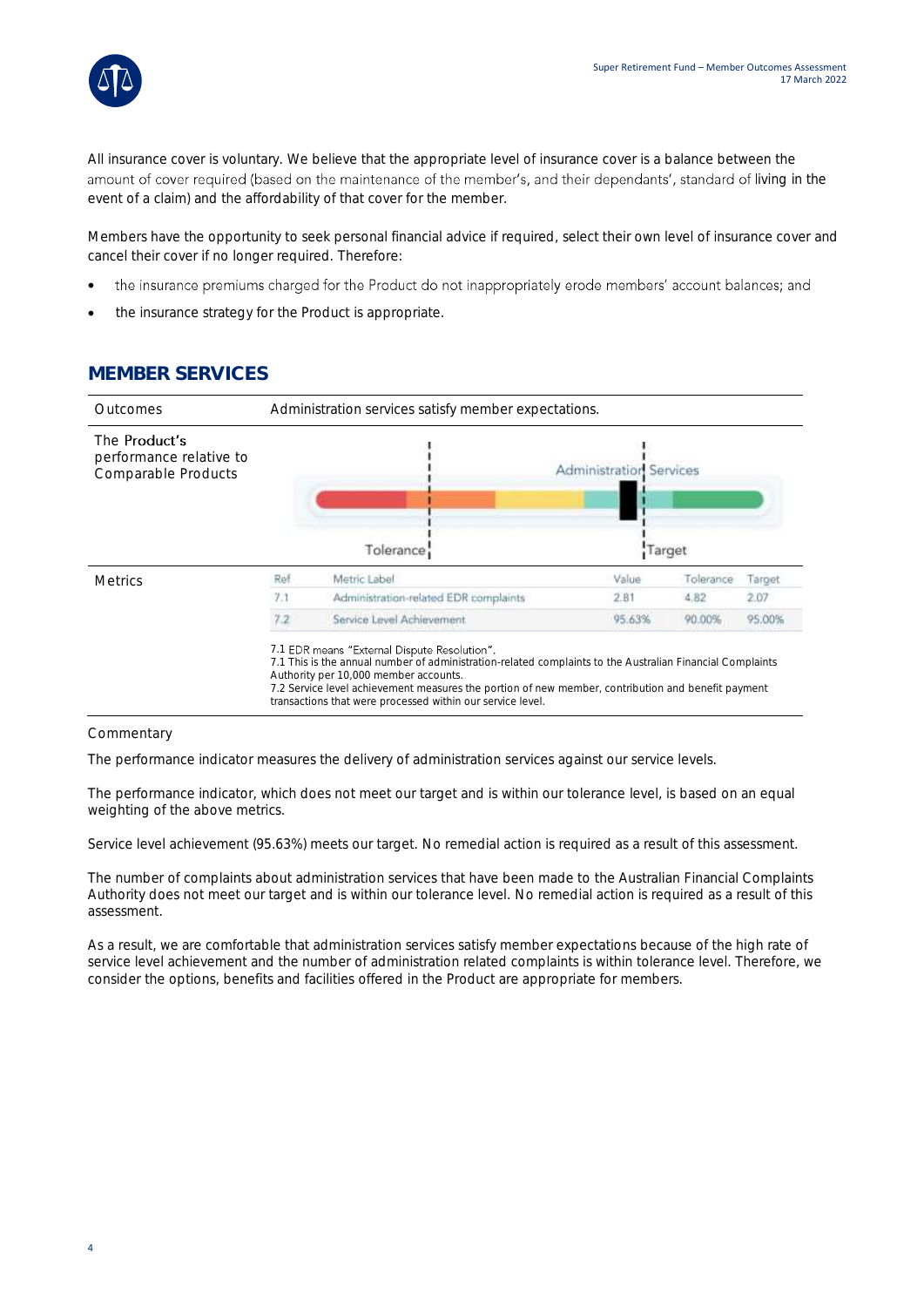

All insurance cover is voluntary. We believe that the appropriate level of insurance cover is a balance between the amount of cover required (based on the maintenance of the member's, and their dependants', standard of living in the event of a claim) and the affordability of that cover for the member.

Members have the opportunity to seek personal financial advice if required, select their own level of insurance cover and cancel their cover if no longer required. Therefore:

- the insurance premiums charged for the Product do not inappropriately erode members' account balances; and •
- the insurance strategy for the Product is appropriate.

### **MEMBER SERVICES**



#### **Commentary**

The performance indicator measures the delivery of administration services against our service levels.

The performance indicator, which does not meet our target and is within our tolerance level, is based on an equal weighting of the above metrics.

Service level achievement (95.63%) meets our target. No remedial action is required as a result of this assessment.

The number of complaints about administration services that have been made to the Australian Financial Complaints Authority does not meet our target and is within our tolerance level. No remedial action is required as a result of this assessment.

As a result, we are comfortable that administration services satisfy member expectations because of the high rate of service level achievement and the number of administration related complaints is within tolerance level. Therefore, we consider the options, benefits and facilities offered in the Product are appropriate for members.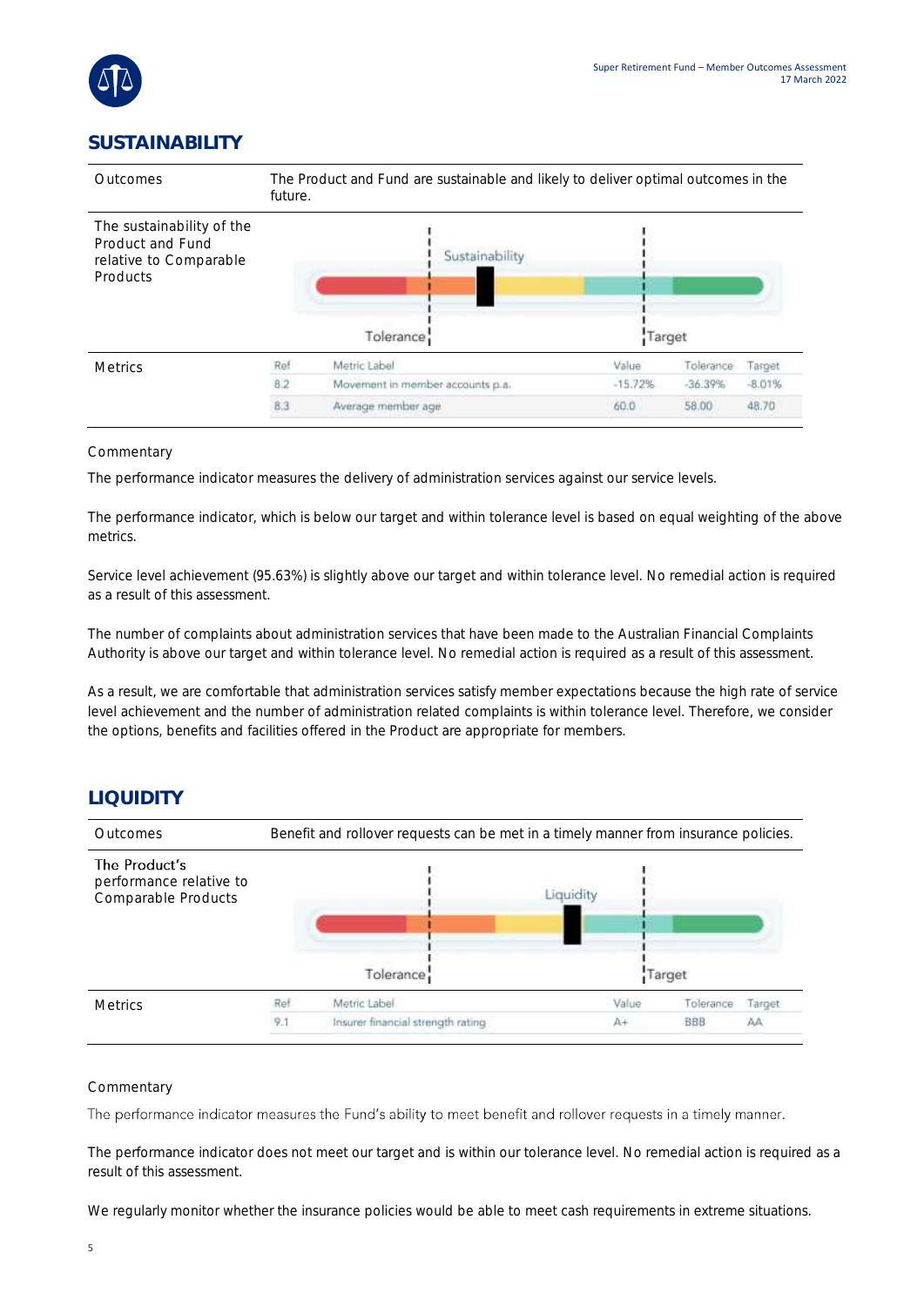

### **SUSTAINABILITY**



#### Commentary

The performance indicator measures the delivery of administration services against our service levels.

The performance indicator, which is below our target and within tolerance level is based on equal weighting of the above metrics.

Service level achievement (95.63%) is slightly above our target and within tolerance level. No remedial action is required as a result of this assessment.

The number of complaints about administration services that have been made to the Australian Financial Complaints Authority is above our target and within tolerance level. No remedial action is required as a result of this assessment.

As a result, we are comfortable that administration services satisfy member expectations because the high rate of service level achievement and the number of administration related complaints is within tolerance level. Therefore, we consider the options, benefits and facilities offered in the Product are appropriate for members.

### **LIQUIDITY**



#### Commentary

The performance indicator measures the Fund's ability to meet benefit and rollover requests in a timely manner.

The performance indicator does not meet our target and is within our tolerance level. No remedial action is required as a result of this assessment.

We regularly monitor whether the insurance policies would be able to meet cash requirements in extreme situations.